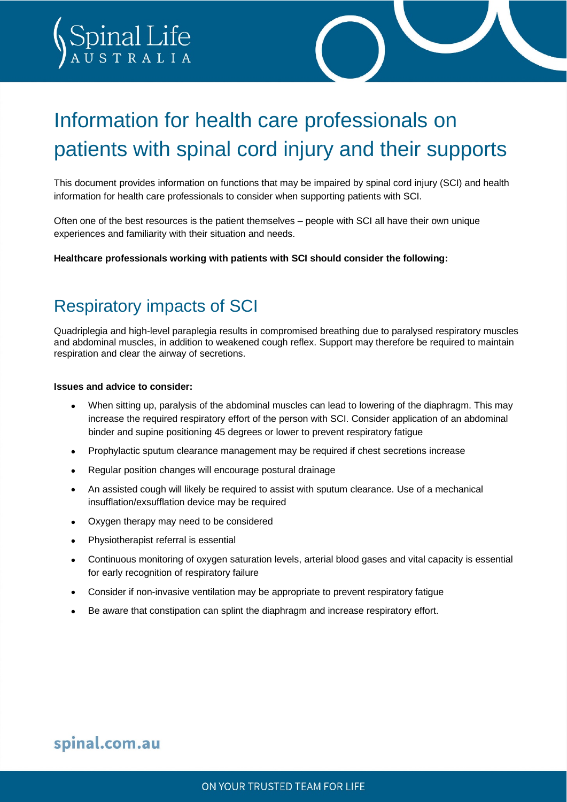# Information for health care professionals on patients with spinal cord injury and their supports

This document provides information on functions that may be impaired by spinal cord injury (SCI) and health information for health care professionals to consider when supporting patients with SCI.

Often one of the best resources is the patient themselves – people with SCI all have their own unique experiences and familiarity with their situation and needs.

**Healthcare professionals working with patients with SCI should consider the following:**

### Respiratory impacts of SCI

pinal Life

Quadriplegia and high-level paraplegia results in compromised breathing due to paralysed respiratory muscles and abdominal muscles, in addition to weakened cough reflex. Support may therefore be required to maintain respiration and clear the airway of secretions.

#### **Issues and advice to consider:**

- When sitting up, paralysis of the abdominal muscles can lead to lowering of the diaphragm. This may increase the required respiratory effort of the person with SCI. Consider application of an abdominal binder and supine positioning 45 degrees or lower to prevent respiratory fatigue
- Prophylactic sputum clearance management may be required if chest secretions increase
- Regular position changes will encourage postural drainage
- An assisted cough will likely be required to assist with sputum clearance. Use of a mechanical insufflation/exsufflation device may be required
- Oxygen therapy may need to be considered
- Physiotherapist referral is essential
- Continuous monitoring of oxygen saturation levels, arterial blood gases and vital capacity is essential for early recognition of respiratory failure
- Consider if non-invasive ventilation may be appropriate to prevent respiratory fatigue
- Be aware that constipation can splint the diaphragm and increase respiratory effort.

### spinal.com.au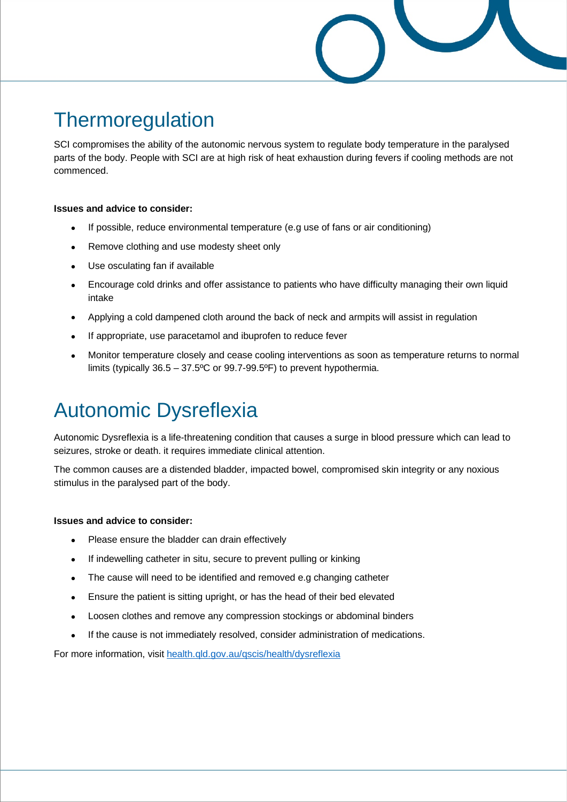## **Thermoregulation**

SCI compromises the ability of the autonomic nervous system to regulate body temperature in the paralysed parts of the body. People with SCI are at high risk of heat exhaustion during fevers if cooling methods are not commenced.

### **Issues and advice to consider:**

- If possible, reduce environmental temperature (e.g use of fans or air conditioning)
- Remove clothing and use modesty sheet only
- Use osculating fan if available
- Encourage cold drinks and offer assistance to patients who have difficulty managing their own liquid intake
- Applying a cold dampened cloth around the back of neck and armpits will assist in regulation
- If appropriate, use paracetamol and ibuprofen to reduce fever
- Monitor temperature closely and cease cooling interventions as soon as temperature returns to normal limits (typically 36.5 – 37.5ºC or 99.7-99.5ºF) to prevent hypothermia.

# Autonomic Dysreflexia

Autonomic Dysreflexia is a life-threatening condition that causes a surge in blood pressure which can lead to seizures, stroke or death. it requires immediate clinical attention.

The common causes are a distended bladder, impacted bowel, compromised skin integrity or any noxious stimulus in the paralysed part of the body.

#### **Issues and advice to consider:**

- Please ensure the bladder can drain effectively
- If indewelling catheter in situ, secure to prevent pulling or kinking
- The cause will need to be identified and removed e.g changing catheter
- Ensure the patient is sitting upright, or has the head of their bed elevated
- Loosen clothes and remove any compression stockings or abdominal binders
- If the cause is not immediately resolved, consider administration of medications.

For more information, visit [health.qld.gov.au/qscis/health/dysreflexia](http://www.health.qld.gov.au/qscis/health/dysreflexia)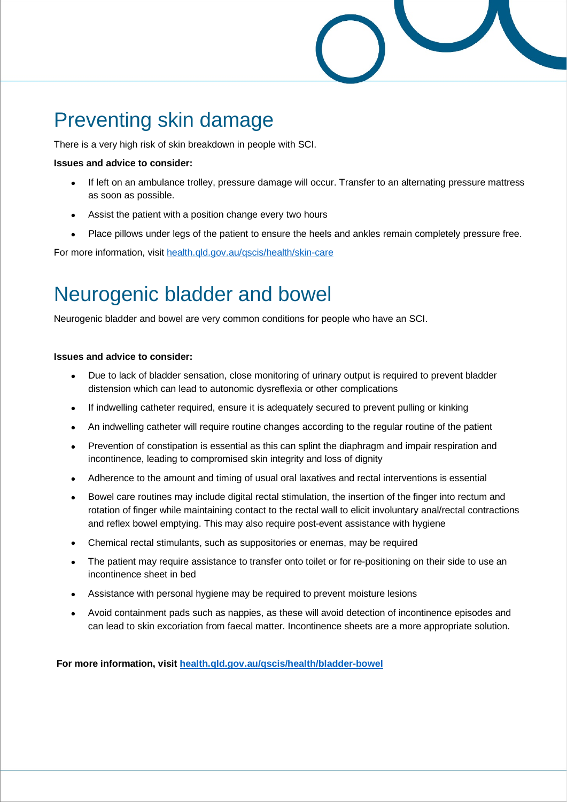

## Preventing skin damage

There is a very high risk of skin breakdown in people with SCI.

#### **Issues and advice to consider:**

- If left on an ambulance trolley, pressure damage will occur. Transfer to an alternating pressure mattress as soon as possible.
- Assist the patient with a position change every two hours
- Place pillows under legs of the patient to ensure the heels and ankles remain completely pressure free.

For more information, visit [health.qld.gov.au/qscis/health/skin-care](https://www.health.qld.gov.au/qscis/health/skin-care)

## Neurogenic bladder and bowel

Neurogenic bladder and bowel are very common conditions for people who have an SCI.

#### **Issues and advice to consider:**

- Due to lack of bladder sensation, close monitoring of urinary output is required to prevent bladder distension which can lead to autonomic dysreflexia or other complications
- If indwelling catheter required, ensure it is adequately secured to prevent pulling or kinking
- An indwelling catheter will require routine changes according to the regular routine of the patient
- Prevention of constipation is essential as this can splint the diaphragm and impair respiration and incontinence, leading to compromised skin integrity and loss of dignity
- Adherence to the amount and timing of usual oral laxatives and rectal interventions is essential
- Bowel care routines may include digital rectal stimulation, the insertion of the finger into rectum and rotation of finger while maintaining contact to the rectal wall to elicit involuntary anal/rectal contractions and reflex bowel emptying. This may also require post-event assistance with hygiene
- Chemical rectal stimulants, such as suppositories or enemas, may be required
- The patient may require assistance to transfer onto toilet or for re-positioning on their side to use an incontinence sheet in bed
- Assistance with personal hygiene may be required to prevent moisture lesions
- Avoid containment pads such as nappies, as these will avoid detection of incontinence episodes and can lead to skin excoriation from faecal matter. Incontinence sheets are a more appropriate solution.

**For more information, visit [health.qld.gov.au/qscis/health/bladder-bowel](https://www.health.qld.gov.au/qscis/health/bladder-bowel)**